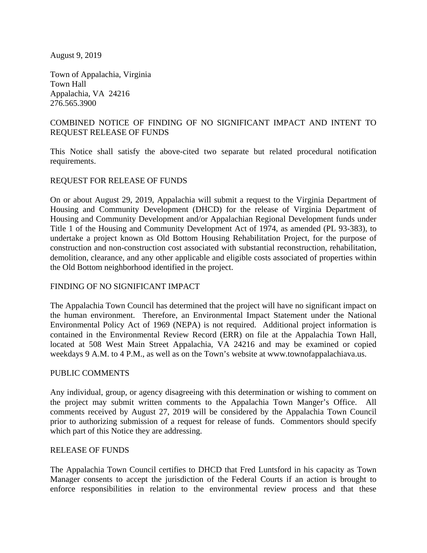August 9, 2019

Town of Appalachia, Virginia Town Hall Appalachia, VA 24216 276.565.3900

# COMBINED NOTICE OF FINDING OF NO SIGNIFICANT IMPACT AND INTENT TO REQUEST RELEASE OF FUNDS

This Notice shall satisfy the above-cited two separate but related procedural notification requirements.

## REQUEST FOR RELEASE OF FUNDS

On or about August 29, 2019, Appalachia will submit a request to the Virginia Department of Housing and Community Development (DHCD) for the release of Virginia Department of Housing and Community Development and/or Appalachian Regional Development funds under Title 1 of the Housing and Community Development Act of 1974, as amended (PL 93-383), to undertake a project known as Old Bottom Housing Rehabilitation Project, for the purpose of construction and non-construction cost associated with substantial reconstruction, rehabilitation, demolition, clearance, and any other applicable and eligible costs associated of properties within the Old Bottom neighborhood identified in the project.

## FINDING OF NO SIGNIFICANT IMPACT

The Appalachia Town Council has determined that the project will have no significant impact on the human environment. Therefore, an Environmental Impact Statement under the National Environmental Policy Act of 1969 (NEPA) is not required. Additional project information is contained in the Environmental Review Record (ERR) on file at the Appalachia Town Hall, located at 508 West Main Street Appalachia, VA 24216 and may be examined or copied weekdays 9 A.M. to 4 P.M., as well as on the Town's website at www.townofappalachiava.us.

## PUBLIC COMMENTS

Any individual, group, or agency disagreeing with this determination or wishing to comment on the project may submit written comments to the Appalachia Town Manger's Office. All comments received by August 27, 2019 will be considered by the Appalachia Town Council prior to authorizing submission of a request for release of funds. Commentors should specify which part of this Notice they are addressing.

### RELEASE OF FUNDS

The Appalachia Town Council certifies to DHCD that Fred Luntsford in his capacity as Town Manager consents to accept the jurisdiction of the Federal Courts if an action is brought to enforce responsibilities in relation to the environmental review process and that these